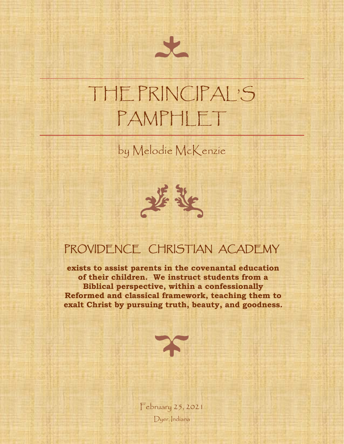# THE PRINCIPAL'S PAMPHLET

by Melodie McKenzie



## PROVIDENCE CHRISTIAN ACADEMY

**exists to assist parents in the covenantal education of their children. We instruct students from a Biblical perspective, within a confessionally Reformed and classical framework, teaching them to exalt Christ by pursuing truth, beauty, and goodness.**



February 25, 2021 Dyer, Indiana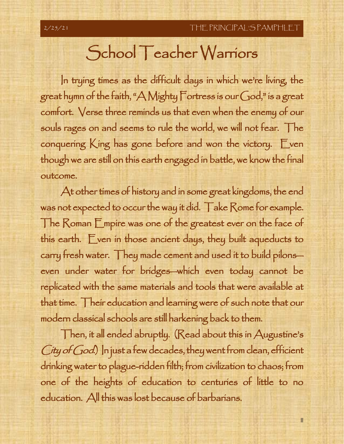## School Teacher Warriors

In trying times as the difficult days in which we're living, the great hymn of the faith, "A Mighty Fortress is our God," is a great comfort. Verse three reminds us that even when the enemy of our souls rages on and seems to rule the world, we will not fear. The conquering  $K$ ing has gone before and won the victory. Even though we are still on this earth engaged in battle, we know the final outcome.

At other times of history and in some great kingdoms, the end was not expected to occur the way it did. Take Rome for example. The Roman Empire was one of the greatest ever on the face of this earth. Even in those ancient days, they built aqueducts to carry fresh water. They made cement and used it to build pilons even under water for bridges—which even today cannot be replicated with the same materials and tools that were available at that time. Their education and learning were of such note that our modern classical schools are still harkening back to them.

Then, it all ended abruptly. (Read about this in Augustine's  $C$ ity of  $God$ .) In just a few decades, they went from clean, efficient drinking water to plague-ridden filth; from civilization to chaos; from one of the heights of education to centuries of little to no education. All this was lost because of barbarians.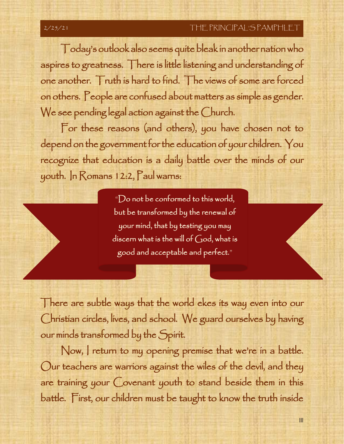III

Today's outlook also seems quite bleak in another nation who aspires to greatness. There is little listening and understanding of one another. Truth is hard to find. The views of some are forced on others. People are confused about matters as simple as gender. We see pending legal action against the Church.

For these reasons (and others), you have chosen not to depend on the government for the education of your children. You recognize that education is a daily battle over the minds of our youth. In Romans 12:2, Paul warns:

> "Do not be conformed to this world, but be transformed by the renewal of your mind, that by testing you may discern what is the will of God, what is good and acceptable and perfect."

> > John 1:14a

There are subtle ways that the world ekes its way even into our Christian circles, lives, and school. We guard ourselves by having our minds transformed by the Spirit.

Now, I return to my opening premise that we're in a battle. Our teachers are warriors against the wiles of the devil, and they are training your Covenant youth to stand beside them in this battle. First, our children must be taught to know the truth inside

 $\overline{a}$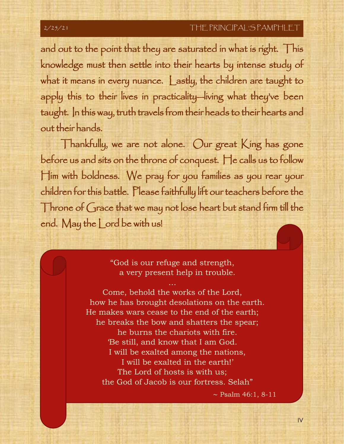and out to the point that they are saturated in what is right. This knowledge must then settle into their hearts by intense study of what it means in every nuance. Lastly, the children are taught to apply this to their lives in practicality—living what they've been taught. In this way, truth travels from their heads to their hearts and out their hands.

Thankfully, we are not alone. Our great King has gone before us and sits on the throne of conquest. He calls us to follow Him with boldness. We pray for you families as you rear your children for this battle. Please faithfully lift our teachers before the Throne of Grace that we may not lose heart but stand firm till the end. May the Lord be with us!

> "God is our refuge and strength, a very present help in trouble.

Come, behold the works of the Lord, how he has brought desolations on the earth. He makes wars cease to the end of the earth; he breaks the bow and shatters the spear; he burns the chariots with fire. 'Be still, and know that I am God. I will be exalted among the nations, I will be exalted in the earth!' The Lord of hosts is with us; the God of Jacob is our fortress. Selah"

∼ Psalm 46:1, 8-11

IV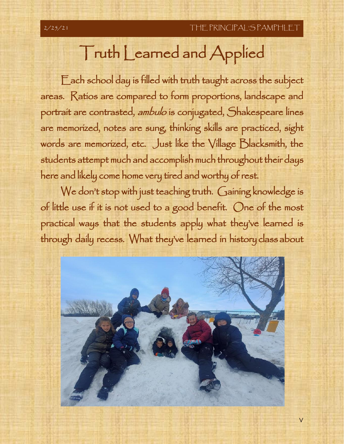V

# Truth Learned and Applied

Each school day is filled with truth taught across the subject areas. Ratios are compared to form proportions, landscape and portrait are contrasted, ambulo is conjugated, Shakespeare lines are memorized, notes are sung, thinking skills are practiced, sight words are memorized, etc. Just like the Village Blacksmith, the students attempt much and accomplish much throughout their days here and likely come home very tired and worthy of rest.

We don't stop with just teaching truth. Gaining knowledge is of little use if it is not used to a good benefit. One of the most practical ways that the students apply what they've learned is through daily recess. What they've learned in history class about

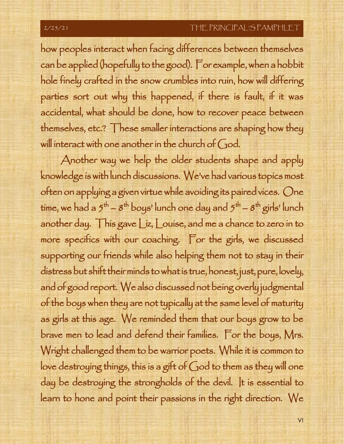how peoples interact when facing differences between themselves can be applied (hopefully to the good). For example, when a hobbit hole finely crafted in the snow crumbles into ruin, how will differing parties sort out why this happened, if there is fault, if it was accidental, what should be done, how to recover peace between themselves, etc.? These smaller interactions are shaping how they will interact with one another in the church of God.

Another way we help the older students shape and apply knowledge is with lunch discussions. We've had various topics most often on applying a given virtue while avoiding its paired vices. One time, we had a  $5^{\text{th}}$  –  $8^{\text{th}}$  boys' lunch one day and  $5^{\text{th}}$  –  $8^{\text{th}}$  girls' lunch another day. This gave Liz, Louise, and me a chance to zero in to more specifics with our coaching. For the girls, we discussed supporting our friends while also helping them not to stay in their distress but shift their minds to what is true, honest, just, pure, lovely, and of good report. We also discussed not being overly judgmental of the boys when they are not typically at the same level of maturity as girls at this age. We reminded them that our boys grow to be brave men to lead and defend their families. For the boys, Mrs. Wright challenged them to be warrior poets. While it is common to love destroying things, this is a gift of God to them as they will one day be destroying the strongholds of the devil. It is essential to learn to hone and point their passions in the right direction. We

VI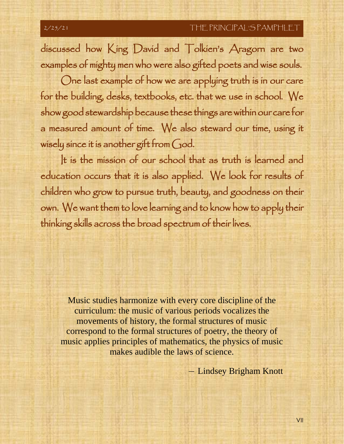discussed how King David and Tolkien's Aragorn are two examples of mighty men who were also gifted poets and wise souls.

One last example of how we are applying truth is in our care for the building, desks, textbooks, etc. that we use in school. We show good stewardship because these things are within our care for a measured amount of time. We also steward our time, using it wisely since it is another gift from God.

It is the mission of our school that as truth is learned and education occurs that it is also applied. We look for results of children who grow to pursue truth, beauty, and goodness on their own. We want them to love learning and to know how to apply their thinking skills across the broad spectrum of their lives.

Music studies harmonize with every core discipline of the curriculum: the music of various periods vocalizes the movements of history, the formal structures of music correspond to the formal structures of poetry, the theory of music applies principles of mathematics, the physics of music makes audible the laws of science.

– Lindsey Brigham Knott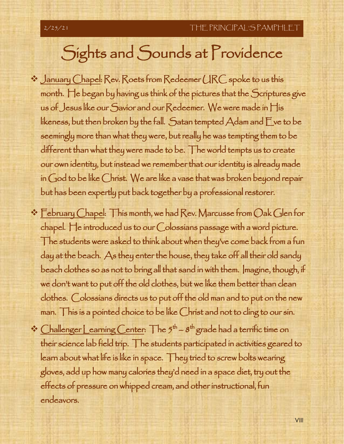## Sights and Sounds at Providence

- ❖ January Chapel: Rev. Roets from Redeemer URC spoke to us this month. He began by having us think of the pictures that the Scriptures give us of Jesus like our Savior and our Redeemer. We were made in His likeness, but then broken by the fall. Satan tempted  $\bigwedge$ dam and  $\bigcup$ ve to be seemingly more than what they were, but really he was tempting them to be different than what they were made to be. The world tempts us to create our own identity, but instead we remember that our identity is already made in God to be like Christ. We are like a vase that was broken beyond repair but has been expertly put back together by a professional restorer.
- ❖ February Chapel: This month, we had Rev. Marcusse from Oak Glen for chapel. He introduced us to our Colossians passage with a word picture. The students were asked to think about when they've come back from a fun day at the beach. As they enter the house, they take off all their old sandy beach clothes so as not to bring all that sand in with them. Imagine, though, if we don't want to put off the old clothes, but we like them better than clean clothes. Colossians directs us to put off the old man and to put on the new man. This is a pointed choice to be like Christ and not to cling to our sin.
- $\cdot$  Challenger Learning Center: The  $5<sup>th</sup> 8<sup>th</sup>$  grade had a terrific time on their science lab field trip. The students participated in activities geared to learn about what life is like in space. They tried to screw bolts wearing gloves, add up how many calories they'd need in a space diet, try out the effects of pressure on whipped cream, and other instructional, fun endeavors.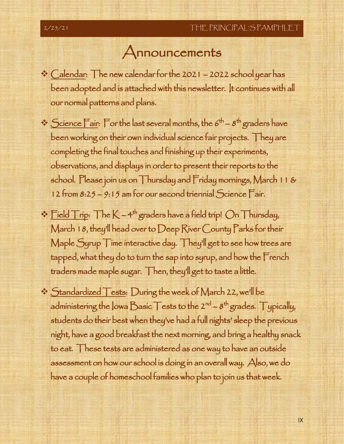## Announcements

- ❖ Calendar: The new calendar for the 2021 2022 school year has been adopted and is attached with this newsletter. It continues with all our normal patterns and plans.
- $\cdot$  Science Fair: For the last several months, the 6<sup>th</sup> 8<sup>th</sup> graders have been working on their own individual science fair projects. They are completing the final touches and finishing up their experiments, observations, and displays in order to present their reports to the school. Please join us on Thursday and Friday mornings, March 11 & 12 from 8:25 – 9:15 am for our second triennial Science Fair.
- $\cdot$  Field Trip: The K  $-4^{\text{th}}$  graders have a field trip! On Thursday, March 18, they'll head over to Deep River County Parks for their Maple Syrup Time interactive day. They'll get to see how trees are tapped, what they do to turn the sap into syrup, and how the French traders made maple sugar. Then, they'll get to taste a little.
- ❖ Standardized Tests: During the week of March 22, we'll be administering the lowa Basic T ests to the 2<sup>nd</sup> –  $s^{\text{th}}$  grades. Typically, students do their best when they've had a full nights' sleep the previous night, have a good breakfast the next morning, and bring a healthy snack to eat. These tests are administered as one way to have an outside assessment on how our school is doing in an overall way. Also, we do have a couple of homeschool families who plan to join us that week.